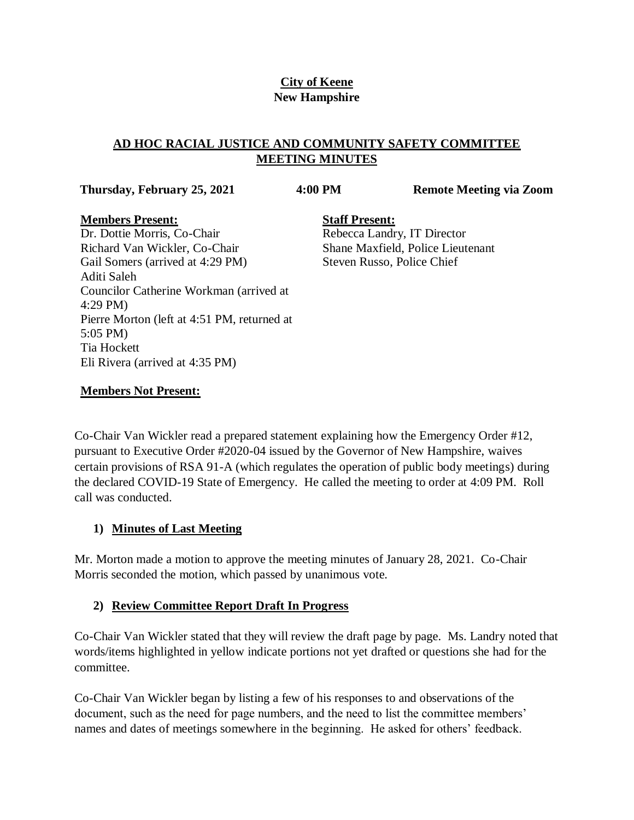## **City of Keene New Hampshire**

### **AD HOC RACIAL JUSTICE AND COMMUNITY SAFETY COMMITTEE MEETING MINUTES**

**Thursday, February 25, 2021 4:00 PM Remote Meeting via Zoom**

### **Members Present:**

**Staff Present:** Rebecca Landry, IT Director Shane Maxfield, Police Lieutenant Steven Russo, Police Chief

Dr. Dottie Morris, Co-Chair Richard Van Wickler, Co-Chair Gail Somers (arrived at 4:29 PM) Aditi Saleh Councilor Catherine Workman (arrived at 4:29 PM) Pierre Morton (left at 4:51 PM, returned at 5:05 PM) Tia Hockett Eli Rivera (arrived at 4:35 PM)

## **Members Not Present:**

Co-Chair Van Wickler read a prepared statement explaining how the Emergency Order #12, pursuant to Executive Order #2020-04 issued by the Governor of New Hampshire, waives certain provisions of RSA 91-A (which regulates the operation of public body meetings) during the declared COVID-19 State of Emergency. He called the meeting to order at 4:09 PM. Roll call was conducted.

## **1) Minutes of Last Meeting**

Mr. Morton made a motion to approve the meeting minutes of January 28, 2021. Co-Chair Morris seconded the motion, which passed by unanimous vote.

# **2) Review Committee Report Draft In Progress**

Co-Chair Van Wickler stated that they will review the draft page by page. Ms. Landry noted that words/items highlighted in yellow indicate portions not yet drafted or questions she had for the committee.

Co-Chair Van Wickler began by listing a few of his responses to and observations of the document, such as the need for page numbers, and the need to list the committee members' names and dates of meetings somewhere in the beginning. He asked for others' feedback.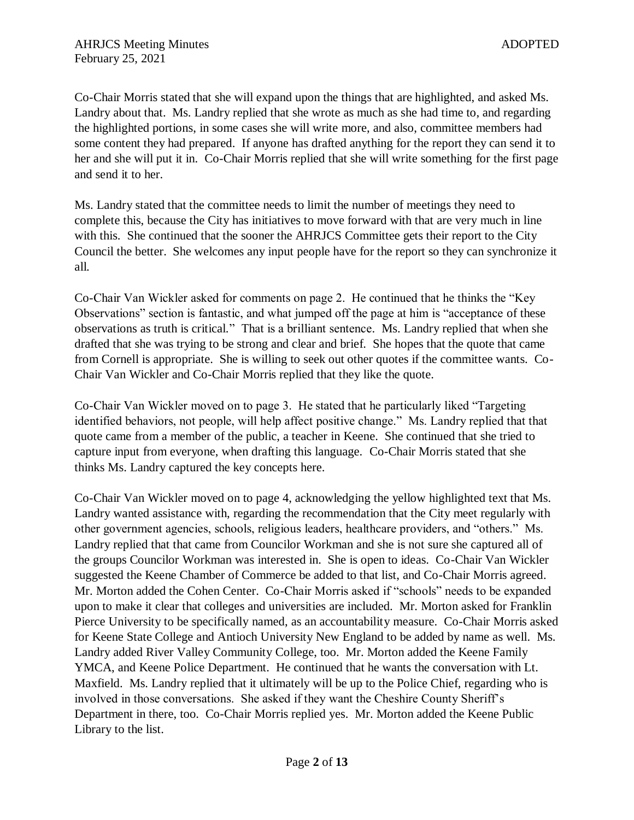Co-Chair Morris stated that she will expand upon the things that are highlighted, and asked Ms. Landry about that. Ms. Landry replied that she wrote as much as she had time to, and regarding the highlighted portions, in some cases she will write more, and also, committee members had some content they had prepared. If anyone has drafted anything for the report they can send it to her and she will put it in. Co-Chair Morris replied that she will write something for the first page and send it to her.

Ms. Landry stated that the committee needs to limit the number of meetings they need to complete this, because the City has initiatives to move forward with that are very much in line with this. She continued that the sooner the AHRJCS Committee gets their report to the City Council the better. She welcomes any input people have for the report so they can synchronize it all.

Co-Chair Van Wickler asked for comments on page 2. He continued that he thinks the "Key Observations" section is fantastic, and what jumped off the page at him is "acceptance of these observations as truth is critical." That is a brilliant sentence. Ms. Landry replied that when she drafted that she was trying to be strong and clear and brief. She hopes that the quote that came from Cornell is appropriate. She is willing to seek out other quotes if the committee wants. Co-Chair Van Wickler and Co-Chair Morris replied that they like the quote.

Co-Chair Van Wickler moved on to page 3. He stated that he particularly liked "Targeting identified behaviors, not people, will help affect positive change." Ms. Landry replied that that quote came from a member of the public, a teacher in Keene. She continued that she tried to capture input from everyone, when drafting this language. Co-Chair Morris stated that she thinks Ms. Landry captured the key concepts here.

Co-Chair Van Wickler moved on to page 4, acknowledging the yellow highlighted text that Ms. Landry wanted assistance with, regarding the recommendation that the City meet regularly with other government agencies, schools, religious leaders, healthcare providers, and "others." Ms. Landry replied that that came from Councilor Workman and she is not sure she captured all of the groups Councilor Workman was interested in. She is open to ideas. Co-Chair Van Wickler suggested the Keene Chamber of Commerce be added to that list, and Co-Chair Morris agreed. Mr. Morton added the Cohen Center. Co-Chair Morris asked if "schools" needs to be expanded upon to make it clear that colleges and universities are included. Mr. Morton asked for Franklin Pierce University to be specifically named, as an accountability measure. Co-Chair Morris asked for Keene State College and Antioch University New England to be added by name as well. Ms. Landry added River Valley Community College, too. Mr. Morton added the Keene Family YMCA, and Keene Police Department. He continued that he wants the conversation with Lt. Maxfield. Ms. Landry replied that it ultimately will be up to the Police Chief, regarding who is involved in those conversations. She asked if they want the Cheshire County Sheriff's Department in there, too. Co-Chair Morris replied yes. Mr. Morton added the Keene Public Library to the list.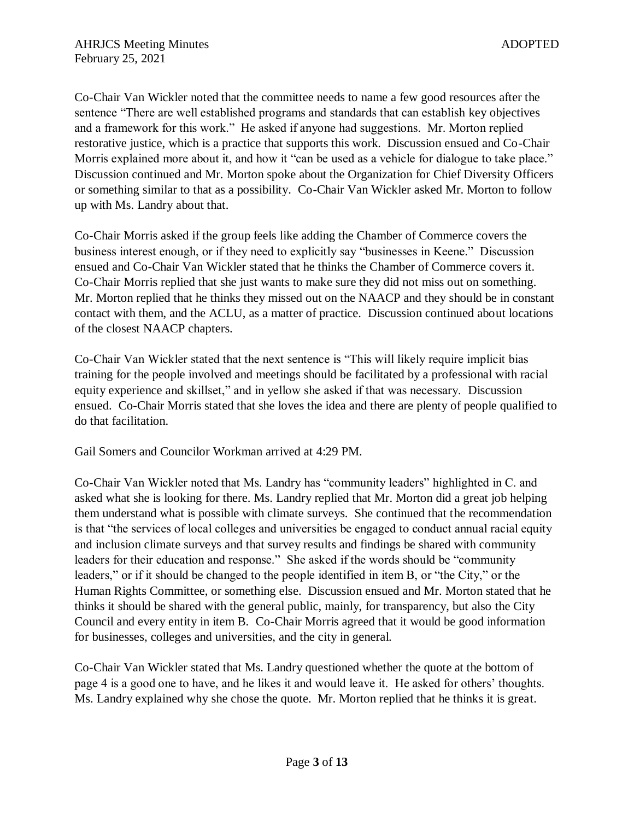Co-Chair Van Wickler noted that the committee needs to name a few good resources after the sentence "There are well established programs and standards that can establish key objectives and a framework for this work." He asked if anyone had suggestions. Mr. Morton replied restorative justice, which is a practice that supports this work. Discussion ensued and Co-Chair Morris explained more about it, and how it "can be used as a vehicle for dialogue to take place." Discussion continued and Mr. Morton spoke about the Organization for Chief Diversity Officers or something similar to that as a possibility. Co-Chair Van Wickler asked Mr. Morton to follow up with Ms. Landry about that.

Co-Chair Morris asked if the group feels like adding the Chamber of Commerce covers the business interest enough, or if they need to explicitly say "businesses in Keene." Discussion ensued and Co-Chair Van Wickler stated that he thinks the Chamber of Commerce covers it. Co-Chair Morris replied that she just wants to make sure they did not miss out on something. Mr. Morton replied that he thinks they missed out on the NAACP and they should be in constant contact with them, and the ACLU, as a matter of practice. Discussion continued about locations of the closest NAACP chapters.

Co-Chair Van Wickler stated that the next sentence is "This will likely require implicit bias training for the people involved and meetings should be facilitated by a professional with racial equity experience and skillset," and in yellow she asked if that was necessary. Discussion ensued. Co-Chair Morris stated that she loves the idea and there are plenty of people qualified to do that facilitation.

Gail Somers and Councilor Workman arrived at 4:29 PM.

Co-Chair Van Wickler noted that Ms. Landry has "community leaders" highlighted in C. and asked what she is looking for there. Ms. Landry replied that Mr. Morton did a great job helping them understand what is possible with climate surveys. She continued that the recommendation is that "the services of local colleges and universities be engaged to conduct annual racial equity and inclusion climate surveys and that survey results and findings be shared with community leaders for their education and response." She asked if the words should be "community leaders," or if it should be changed to the people identified in item B, or "the City," or the Human Rights Committee, or something else. Discussion ensued and Mr. Morton stated that he thinks it should be shared with the general public, mainly, for transparency, but also the City Council and every entity in item B. Co-Chair Morris agreed that it would be good information for businesses, colleges and universities, and the city in general.

Co-Chair Van Wickler stated that Ms. Landry questioned whether the quote at the bottom of page 4 is a good one to have, and he likes it and would leave it. He asked for others' thoughts. Ms. Landry explained why she chose the quote. Mr. Morton replied that he thinks it is great.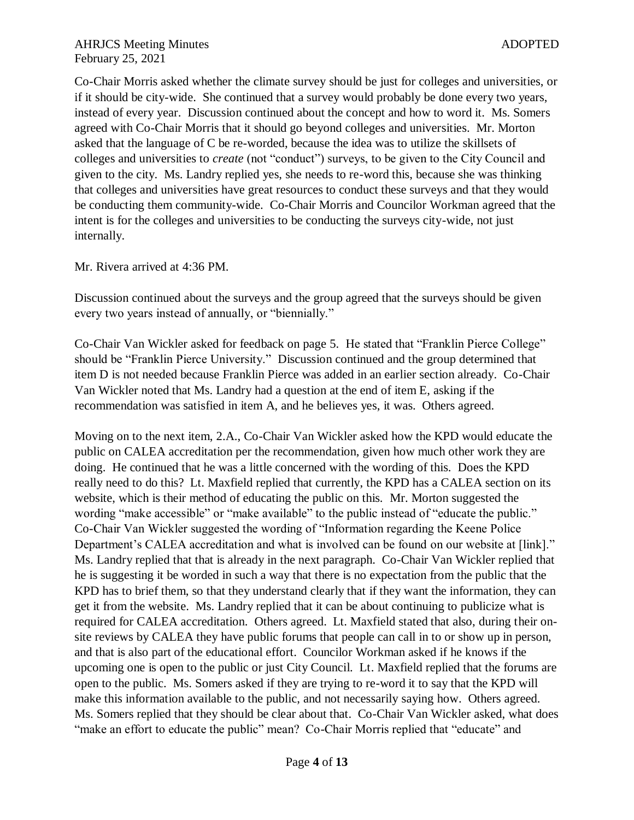Co-Chair Morris asked whether the climate survey should be just for colleges and universities, or if it should be city-wide. She continued that a survey would probably be done every two years, instead of every year. Discussion continued about the concept and how to word it. Ms. Somers agreed with Co-Chair Morris that it should go beyond colleges and universities. Mr. Morton asked that the language of C be re-worded, because the idea was to utilize the skillsets of colleges and universities to *create* (not "conduct") surveys, to be given to the City Council and given to the city. Ms. Landry replied yes, she needs to re-word this, because she was thinking that colleges and universities have great resources to conduct these surveys and that they would be conducting them community-wide. Co-Chair Morris and Councilor Workman agreed that the intent is for the colleges and universities to be conducting the surveys city-wide, not just internally.

Mr. Rivera arrived at 4:36 PM.

Discussion continued about the surveys and the group agreed that the surveys should be given every two years instead of annually, or "biennially."

Co-Chair Van Wickler asked for feedback on page 5. He stated that "Franklin Pierce College" should be "Franklin Pierce University." Discussion continued and the group determined that item D is not needed because Franklin Pierce was added in an earlier section already. Co-Chair Van Wickler noted that Ms. Landry had a question at the end of item E, asking if the recommendation was satisfied in item A, and he believes yes, it was. Others agreed.

Moving on to the next item, 2.A., Co-Chair Van Wickler asked how the KPD would educate the public on CALEA accreditation per the recommendation, given how much other work they are doing. He continued that he was a little concerned with the wording of this. Does the KPD really need to do this? Lt. Maxfield replied that currently, the KPD has a CALEA section on its website, which is their method of educating the public on this. Mr. Morton suggested the wording "make accessible" or "make available" to the public instead of "educate the public." Co-Chair Van Wickler suggested the wording of "Information regarding the Keene Police Department's CALEA accreditation and what is involved can be found on our website at [link]." Ms. Landry replied that that is already in the next paragraph. Co-Chair Van Wickler replied that he is suggesting it be worded in such a way that there is no expectation from the public that the KPD has to brief them, so that they understand clearly that if they want the information, they can get it from the website. Ms. Landry replied that it can be about continuing to publicize what is required for CALEA accreditation. Others agreed. Lt. Maxfield stated that also, during their onsite reviews by CALEA they have public forums that people can call in to or show up in person, and that is also part of the educational effort. Councilor Workman asked if he knows if the upcoming one is open to the public or just City Council. Lt. Maxfield replied that the forums are open to the public. Ms. Somers asked if they are trying to re-word it to say that the KPD will make this information available to the public, and not necessarily saying how. Others agreed. Ms. Somers replied that they should be clear about that. Co-Chair Van Wickler asked, what does "make an effort to educate the public" mean? Co-Chair Morris replied that "educate" and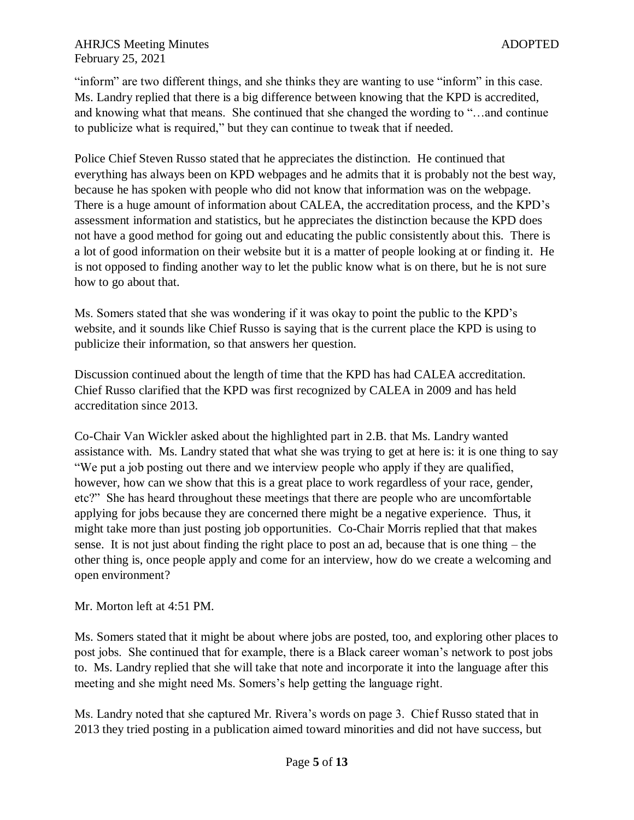"inform" are two different things, and she thinks they are wanting to use "inform" in this case. Ms. Landry replied that there is a big difference between knowing that the KPD is accredited, and knowing what that means. She continued that she changed the wording to "…and continue to publicize what is required," but they can continue to tweak that if needed.

Police Chief Steven Russo stated that he appreciates the distinction. He continued that everything has always been on KPD webpages and he admits that it is probably not the best way, because he has spoken with people who did not know that information was on the webpage. There is a huge amount of information about CALEA, the accreditation process, and the KPD's assessment information and statistics, but he appreciates the distinction because the KPD does not have a good method for going out and educating the public consistently about this. There is a lot of good information on their website but it is a matter of people looking at or finding it. He is not opposed to finding another way to let the public know what is on there, but he is not sure how to go about that.

Ms. Somers stated that she was wondering if it was okay to point the public to the KPD's website, and it sounds like Chief Russo is saying that is the current place the KPD is using to publicize their information, so that answers her question.

Discussion continued about the length of time that the KPD has had CALEA accreditation. Chief Russo clarified that the KPD was first recognized by CALEA in 2009 and has held accreditation since 2013.

Co-Chair Van Wickler asked about the highlighted part in 2.B. that Ms. Landry wanted assistance with. Ms. Landry stated that what she was trying to get at here is: it is one thing to say "We put a job posting out there and we interview people who apply if they are qualified, however, how can we show that this is a great place to work regardless of your race, gender, etc?" She has heard throughout these meetings that there are people who are uncomfortable applying for jobs because they are concerned there might be a negative experience. Thus, it might take more than just posting job opportunities. Co-Chair Morris replied that that makes sense. It is not just about finding the right place to post an ad, because that is one thing – the other thing is, once people apply and come for an interview, how do we create a welcoming and open environment?

Mr. Morton left at 4:51 PM.

Ms. Somers stated that it might be about where jobs are posted, too, and exploring other places to post jobs. She continued that for example, there is a Black career woman's network to post jobs to. Ms. Landry replied that she will take that note and incorporate it into the language after this meeting and she might need Ms. Somers's help getting the language right.

Ms. Landry noted that she captured Mr. Rivera's words on page 3. Chief Russo stated that in 2013 they tried posting in a publication aimed toward minorities and did not have success, but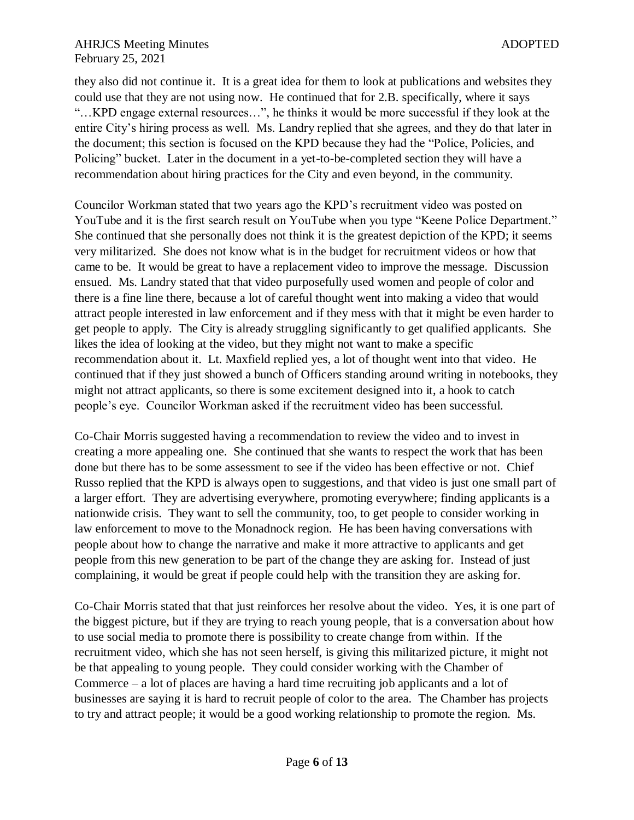they also did not continue it. It is a great idea for them to look at publications and websites they could use that they are not using now. He continued that for 2.B. specifically, where it says "…KPD engage external resources…", he thinks it would be more successful if they look at the entire City's hiring process as well. Ms. Landry replied that she agrees, and they do that later in the document; this section is focused on the KPD because they had the "Police, Policies, and Policing" bucket. Later in the document in a yet-to-be-completed section they will have a recommendation about hiring practices for the City and even beyond, in the community.

Councilor Workman stated that two years ago the KPD's recruitment video was posted on YouTube and it is the first search result on YouTube when you type "Keene Police Department." She continued that she personally does not think it is the greatest depiction of the KPD; it seems very militarized. She does not know what is in the budget for recruitment videos or how that came to be. It would be great to have a replacement video to improve the message. Discussion ensued. Ms. Landry stated that that video purposefully used women and people of color and there is a fine line there, because a lot of careful thought went into making a video that would attract people interested in law enforcement and if they mess with that it might be even harder to get people to apply. The City is already struggling significantly to get qualified applicants. She likes the idea of looking at the video, but they might not want to make a specific recommendation about it. Lt. Maxfield replied yes, a lot of thought went into that video. He continued that if they just showed a bunch of Officers standing around writing in notebooks, they might not attract applicants, so there is some excitement designed into it, a hook to catch people's eye. Councilor Workman asked if the recruitment video has been successful.

Co-Chair Morris suggested having a recommendation to review the video and to invest in creating a more appealing one. She continued that she wants to respect the work that has been done but there has to be some assessment to see if the video has been effective or not. Chief Russo replied that the KPD is always open to suggestions, and that video is just one small part of a larger effort. They are advertising everywhere, promoting everywhere; finding applicants is a nationwide crisis. They want to sell the community, too, to get people to consider working in law enforcement to move to the Monadnock region. He has been having conversations with people about how to change the narrative and make it more attractive to applicants and get people from this new generation to be part of the change they are asking for. Instead of just complaining, it would be great if people could help with the transition they are asking for.

Co-Chair Morris stated that that just reinforces her resolve about the video. Yes, it is one part of the biggest picture, but if they are trying to reach young people, that is a conversation about how to use social media to promote there is possibility to create change from within. If the recruitment video, which she has not seen herself, is giving this militarized picture, it might not be that appealing to young people. They could consider working with the Chamber of Commerce – a lot of places are having a hard time recruiting job applicants and a lot of businesses are saying it is hard to recruit people of color to the area. The Chamber has projects to try and attract people; it would be a good working relationship to promote the region. Ms.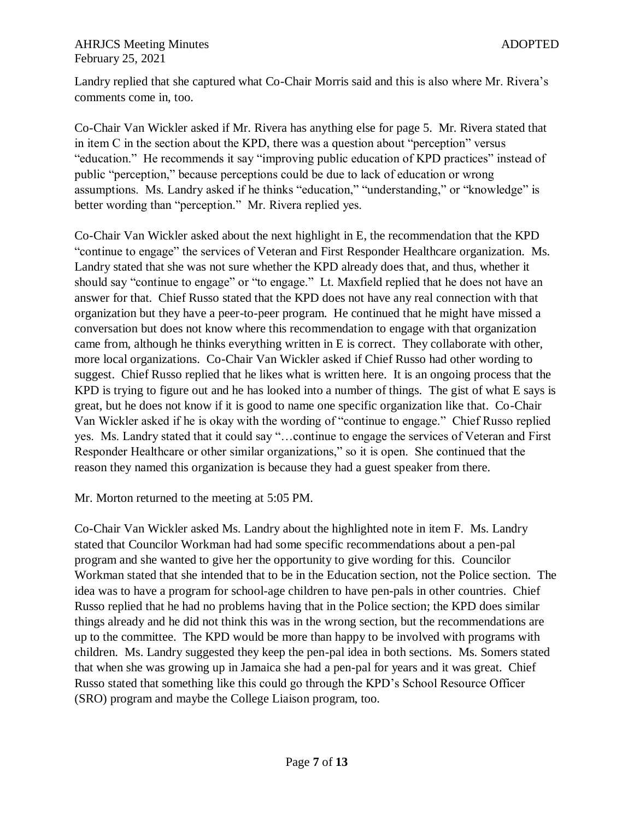Landry replied that she captured what Co-Chair Morris said and this is also where Mr. Rivera's comments come in, too.

Co-Chair Van Wickler asked if Mr. Rivera has anything else for page 5. Mr. Rivera stated that in item C in the section about the KPD, there was a question about "perception" versus "education." He recommends it say "improving public education of KPD practices" instead of public "perception," because perceptions could be due to lack of education or wrong assumptions. Ms. Landry asked if he thinks "education," "understanding," or "knowledge" is better wording than "perception." Mr. Rivera replied yes.

Co-Chair Van Wickler asked about the next highlight in E, the recommendation that the KPD "continue to engage" the services of Veteran and First Responder Healthcare organization. Ms. Landry stated that she was not sure whether the KPD already does that, and thus, whether it should say "continue to engage" or "to engage." Lt. Maxfield replied that he does not have an answer for that. Chief Russo stated that the KPD does not have any real connection with that organization but they have a peer-to-peer program. He continued that he might have missed a conversation but does not know where this recommendation to engage with that organization came from, although he thinks everything written in E is correct. They collaborate with other, more local organizations. Co-Chair Van Wickler asked if Chief Russo had other wording to suggest. Chief Russo replied that he likes what is written here. It is an ongoing process that the KPD is trying to figure out and he has looked into a number of things. The gist of what E says is great, but he does not know if it is good to name one specific organization like that. Co-Chair Van Wickler asked if he is okay with the wording of "continue to engage." Chief Russo replied yes. Ms. Landry stated that it could say "…continue to engage the services of Veteran and First Responder Healthcare or other similar organizations," so it is open. She continued that the reason they named this organization is because they had a guest speaker from there.

Mr. Morton returned to the meeting at 5:05 PM.

Co-Chair Van Wickler asked Ms. Landry about the highlighted note in item F. Ms. Landry stated that Councilor Workman had had some specific recommendations about a pen-pal program and she wanted to give her the opportunity to give wording for this. Councilor Workman stated that she intended that to be in the Education section, not the Police section. The idea was to have a program for school-age children to have pen-pals in other countries. Chief Russo replied that he had no problems having that in the Police section; the KPD does similar things already and he did not think this was in the wrong section, but the recommendations are up to the committee. The KPD would be more than happy to be involved with programs with children. Ms. Landry suggested they keep the pen-pal idea in both sections. Ms. Somers stated that when she was growing up in Jamaica she had a pen-pal for years and it was great. Chief Russo stated that something like this could go through the KPD's School Resource Officer (SRO) program and maybe the College Liaison program, too.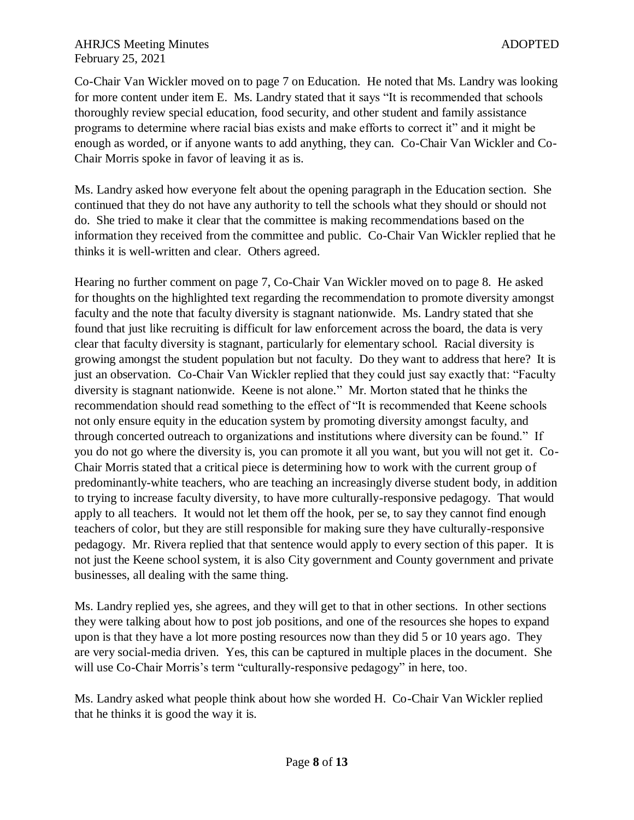#### AHRJCS Meeting Minutes and the state of the state and the state and the state and the state and the state and the state and the state and the state and the state and the state and the state and the state and the state and February 25, 2021

Co-Chair Van Wickler moved on to page 7 on Education. He noted that Ms. Landry was looking for more content under item E. Ms. Landry stated that it says "It is recommended that schools thoroughly review special education, food security, and other student and family assistance programs to determine where racial bias exists and make efforts to correct it" and it might be enough as worded, or if anyone wants to add anything, they can. Co-Chair Van Wickler and Co-Chair Morris spoke in favor of leaving it as is.

Ms. Landry asked how everyone felt about the opening paragraph in the Education section. She continued that they do not have any authority to tell the schools what they should or should not do. She tried to make it clear that the committee is making recommendations based on the information they received from the committee and public. Co-Chair Van Wickler replied that he thinks it is well-written and clear. Others agreed.

Hearing no further comment on page 7, Co-Chair Van Wickler moved on to page 8. He asked for thoughts on the highlighted text regarding the recommendation to promote diversity amongst faculty and the note that faculty diversity is stagnant nationwide. Ms. Landry stated that she found that just like recruiting is difficult for law enforcement across the board, the data is very clear that faculty diversity is stagnant, particularly for elementary school. Racial diversity is growing amongst the student population but not faculty. Do they want to address that here? It is just an observation. Co-Chair Van Wickler replied that they could just say exactly that: "Faculty diversity is stagnant nationwide. Keene is not alone." Mr. Morton stated that he thinks the recommendation should read something to the effect of "It is recommended that Keene schools not only ensure equity in the education system by promoting diversity amongst faculty, and through concerted outreach to organizations and institutions where diversity can be found." If you do not go where the diversity is, you can promote it all you want, but you will not get it. Co-Chair Morris stated that a critical piece is determining how to work with the current group of predominantly-white teachers, who are teaching an increasingly diverse student body, in addition to trying to increase faculty diversity, to have more culturally-responsive pedagogy. That would apply to all teachers. It would not let them off the hook, per se, to say they cannot find enough teachers of color, but they are still responsible for making sure they have culturally-responsive pedagogy. Mr. Rivera replied that that sentence would apply to every section of this paper. It is not just the Keene school system, it is also City government and County government and private businesses, all dealing with the same thing.

Ms. Landry replied yes, she agrees, and they will get to that in other sections. In other sections they were talking about how to post job positions, and one of the resources she hopes to expand upon is that they have a lot more posting resources now than they did 5 or 10 years ago. They are very social-media driven. Yes, this can be captured in multiple places in the document. She will use Co-Chair Morris's term "culturally-responsive pedagogy" in here, too.

Ms. Landry asked what people think about how she worded H. Co-Chair Van Wickler replied that he thinks it is good the way it is.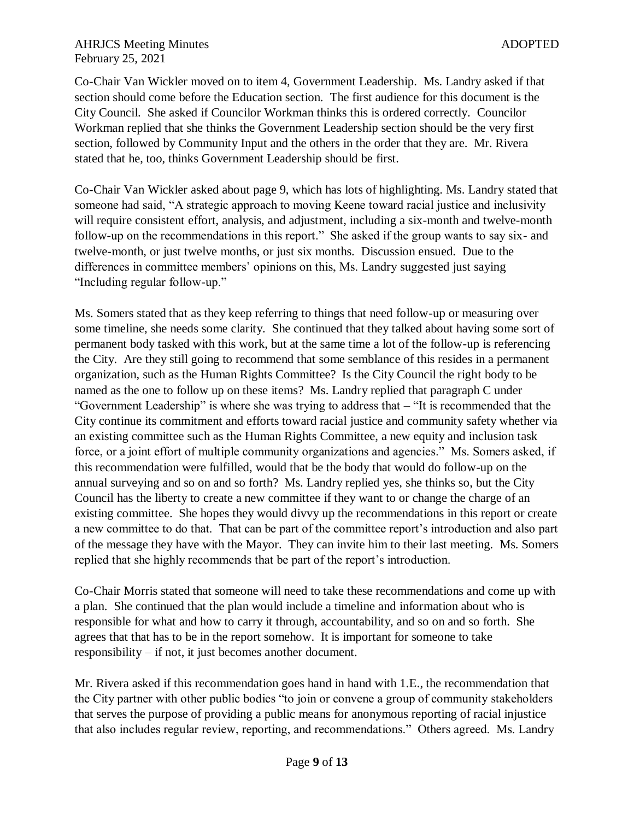#### AHRJCS Meeting Minutes and the state of the state and the state and the state and the state and the state and the state and the state and the state and the state and the state and the state and the state and the state and February 25, 2021

Co-Chair Van Wickler moved on to item 4, Government Leadership. Ms. Landry asked if that section should come before the Education section. The first audience for this document is the City Council. She asked if Councilor Workman thinks this is ordered correctly. Councilor Workman replied that she thinks the Government Leadership section should be the very first section, followed by Community Input and the others in the order that they are. Mr. Rivera stated that he, too, thinks Government Leadership should be first.

Co-Chair Van Wickler asked about page 9, which has lots of highlighting. Ms. Landry stated that someone had said, "A strategic approach to moving Keene toward racial justice and inclusivity will require consistent effort, analysis, and adjustment, including a six-month and twelve-month follow-up on the recommendations in this report." She asked if the group wants to say six- and twelve-month, or just twelve months, or just six months. Discussion ensued. Due to the differences in committee members' opinions on this, Ms. Landry suggested just saying "Including regular follow-up."

Ms. Somers stated that as they keep referring to things that need follow-up or measuring over some timeline, she needs some clarity. She continued that they talked about having some sort of permanent body tasked with this work, but at the same time a lot of the follow-up is referencing the City. Are they still going to recommend that some semblance of this resides in a permanent organization, such as the Human Rights Committee? Is the City Council the right body to be named as the one to follow up on these items? Ms. Landry replied that paragraph C under "Government Leadership" is where she was trying to address that – "It is recommended that the City continue its commitment and efforts toward racial justice and community safety whether via an existing committee such as the Human Rights Committee, a new equity and inclusion task force, or a joint effort of multiple community organizations and agencies." Ms. Somers asked, if this recommendation were fulfilled, would that be the body that would do follow-up on the annual surveying and so on and so forth? Ms. Landry replied yes, she thinks so, but the City Council has the liberty to create a new committee if they want to or change the charge of an existing committee. She hopes they would divvy up the recommendations in this report or create a new committee to do that. That can be part of the committee report's introduction and also part of the message they have with the Mayor. They can invite him to their last meeting. Ms. Somers replied that she highly recommends that be part of the report's introduction.

Co-Chair Morris stated that someone will need to take these recommendations and come up with a plan. She continued that the plan would include a timeline and information about who is responsible for what and how to carry it through, accountability, and so on and so forth. She agrees that that has to be in the report somehow. It is important for someone to take responsibility – if not, it just becomes another document.

Mr. Rivera asked if this recommendation goes hand in hand with 1.E., the recommendation that the City partner with other public bodies "to join or convene a group of community stakeholders that serves the purpose of providing a public means for anonymous reporting of racial injustice that also includes regular review, reporting, and recommendations." Others agreed. Ms. Landry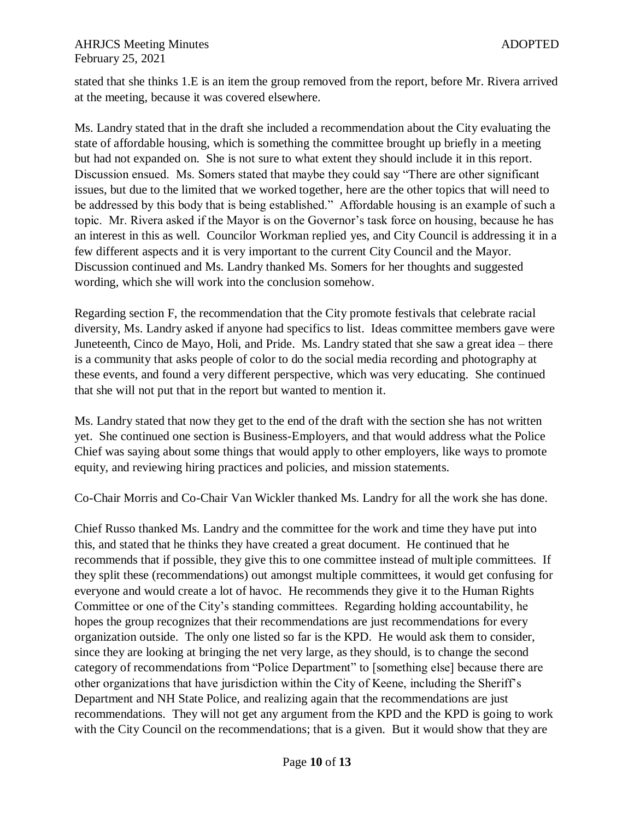#### AHRJCS Meeting Minutes and the state of the state and the state and the state and the state and the state and the state and the state and the state and the state and the state and the state and the state and the state and February 25, 2021

stated that she thinks 1.E is an item the group removed from the report, before Mr. Rivera arrived at the meeting, because it was covered elsewhere.

Ms. Landry stated that in the draft she included a recommendation about the City evaluating the state of affordable housing, which is something the committee brought up briefly in a meeting but had not expanded on. She is not sure to what extent they should include it in this report. Discussion ensued. Ms. Somers stated that maybe they could say "There are other significant issues, but due to the limited that we worked together, here are the other topics that will need to be addressed by this body that is being established." Affordable housing is an example of such a topic. Mr. Rivera asked if the Mayor is on the Governor's task force on housing, because he has an interest in this as well. Councilor Workman replied yes, and City Council is addressing it in a few different aspects and it is very important to the current City Council and the Mayor. Discussion continued and Ms. Landry thanked Ms. Somers for her thoughts and suggested wording, which she will work into the conclusion somehow.

Regarding section F, the recommendation that the City promote festivals that celebrate racial diversity, Ms. Landry asked if anyone had specifics to list. Ideas committee members gave were Juneteenth, Cinco de Mayo, Holi, and Pride. Ms. Landry stated that she saw a great idea – there is a community that asks people of color to do the social media recording and photography at these events, and found a very different perspective, which was very educating. She continued that she will not put that in the report but wanted to mention it.

Ms. Landry stated that now they get to the end of the draft with the section she has not written yet. She continued one section is Business-Employers, and that would address what the Police Chief was saying about some things that would apply to other employers, like ways to promote equity, and reviewing hiring practices and policies, and mission statements.

Co-Chair Morris and Co-Chair Van Wickler thanked Ms. Landry for all the work she has done.

Chief Russo thanked Ms. Landry and the committee for the work and time they have put into this, and stated that he thinks they have created a great document. He continued that he recommends that if possible, they give this to one committee instead of multiple committees. If they split these (recommendations) out amongst multiple committees, it would get confusing for everyone and would create a lot of havoc. He recommends they give it to the Human Rights Committee or one of the City's standing committees. Regarding holding accountability, he hopes the group recognizes that their recommendations are just recommendations for every organization outside. The only one listed so far is the KPD. He would ask them to consider, since they are looking at bringing the net very large, as they should, is to change the second category of recommendations from "Police Department" to [something else] because there are other organizations that have jurisdiction within the City of Keene, including the Sheriff's Department and NH State Police, and realizing again that the recommendations are just recommendations. They will not get any argument from the KPD and the KPD is going to work with the City Council on the recommendations; that is a given. But it would show that they are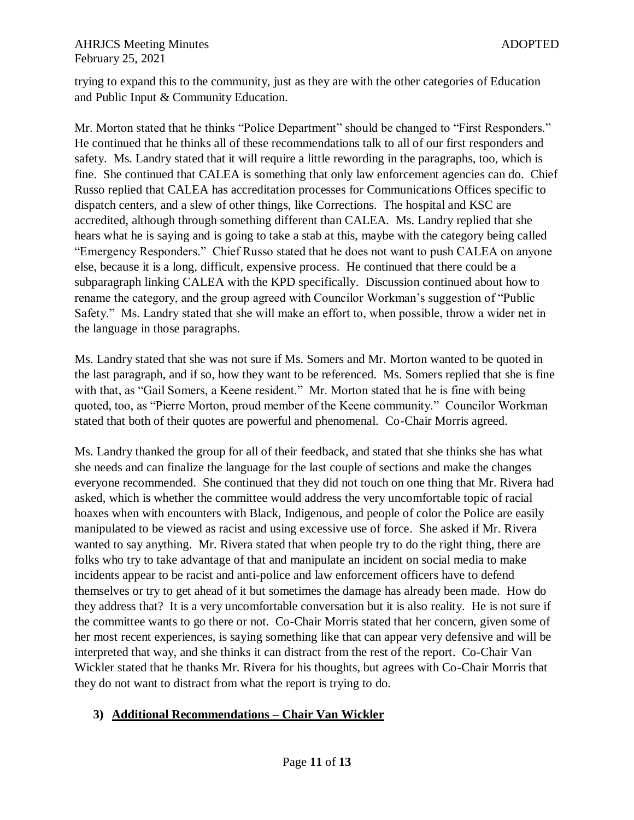trying to expand this to the community, just as they are with the other categories of Education and Public Input & Community Education.

Mr. Morton stated that he thinks "Police Department" should be changed to "First Responders." He continued that he thinks all of these recommendations talk to all of our first responders and safety. Ms. Landry stated that it will require a little rewording in the paragraphs, too, which is fine. She continued that CALEA is something that only law enforcement agencies can do. Chief Russo replied that CALEA has accreditation processes for Communications Offices specific to dispatch centers, and a slew of other things, like Corrections. The hospital and KSC are accredited, although through something different than CALEA. Ms. Landry replied that she hears what he is saying and is going to take a stab at this, maybe with the category being called "Emergency Responders." Chief Russo stated that he does not want to push CALEA on anyone else, because it is a long, difficult, expensive process. He continued that there could be a subparagraph linking CALEA with the KPD specifically. Discussion continued about how to rename the category, and the group agreed with Councilor Workman's suggestion of "Public Safety." Ms. Landry stated that she will make an effort to, when possible, throw a wider net in the language in those paragraphs.

Ms. Landry stated that she was not sure if Ms. Somers and Mr. Morton wanted to be quoted in the last paragraph, and if so, how they want to be referenced. Ms. Somers replied that she is fine with that, as "Gail Somers, a Keene resident." Mr. Morton stated that he is fine with being quoted, too, as "Pierre Morton, proud member of the Keene community." Councilor Workman stated that both of their quotes are powerful and phenomenal. Co-Chair Morris agreed.

Ms. Landry thanked the group for all of their feedback, and stated that she thinks she has what she needs and can finalize the language for the last couple of sections and make the changes everyone recommended. She continued that they did not touch on one thing that Mr. Rivera had asked, which is whether the committee would address the very uncomfortable topic of racial hoaxes when with encounters with Black, Indigenous, and people of color the Police are easily manipulated to be viewed as racist and using excessive use of force. She asked if Mr. Rivera wanted to say anything. Mr. Rivera stated that when people try to do the right thing, there are folks who try to take advantage of that and manipulate an incident on social media to make incidents appear to be racist and anti-police and law enforcement officers have to defend themselves or try to get ahead of it but sometimes the damage has already been made. How do they address that? It is a very uncomfortable conversation but it is also reality. He is not sure if the committee wants to go there or not. Co-Chair Morris stated that her concern, given some of her most recent experiences, is saying something like that can appear very defensive and will be interpreted that way, and she thinks it can distract from the rest of the report. Co-Chair Van Wickler stated that he thanks Mr. Rivera for his thoughts, but agrees with Co-Chair Morris that they do not want to distract from what the report is trying to do.

## **3) Additional Recommendations – Chair Van Wickler**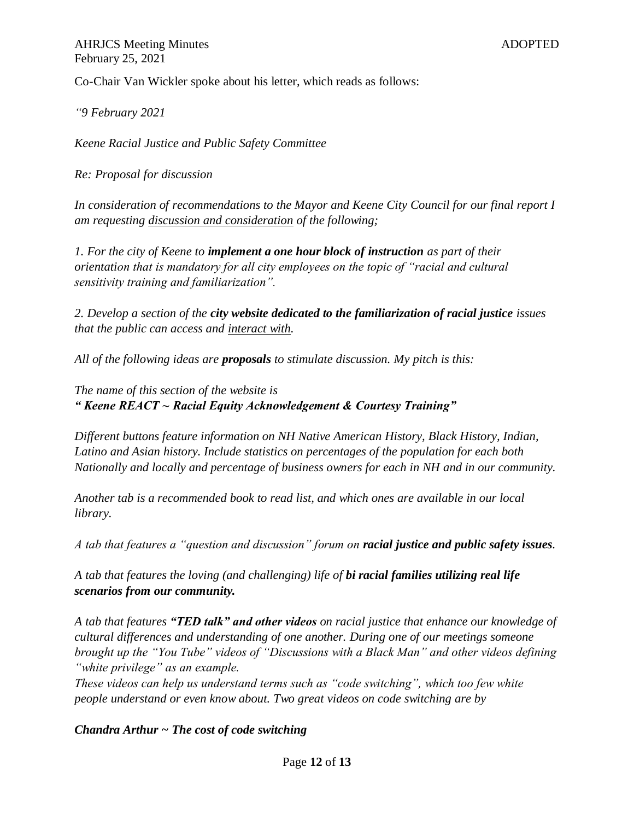AHRJCS Meeting Minutes and the state of the state of the ADOPTED ADOPTED February 25, 2021

Co-Chair Van Wickler spoke about his letter, which reads as follows:

*"9 February 2021* 

*Keene Racial Justice and Public Safety Committee* 

*Re: Proposal for discussion* 

*In consideration of recommendations to the Mayor and Keene City Council for our final report I am requesting discussion and consideration of the following;* 

*1. For the city of Keene to implement a one hour block of instruction as part of their orientation that is mandatory for all city employees on the topic of "racial and cultural sensitivity training and familiarization".* 

*2. Develop a section of the city website dedicated to the familiarization of racial justice issues that the public can access and interact with.* 

*All of the following ideas are proposals to stimulate discussion. My pitch is this:* 

*The name of this section of the website is " Keene REACT ~ Racial Equity Acknowledgement & Courtesy Training"* 

*Different buttons feature information on NH Native American History, Black History, Indian, Latino and Asian history. Include statistics on percentages of the population for each both Nationally and locally and percentage of business owners for each in NH and in our community.* 

*Another tab is a recommended book to read list, and which ones are available in our local library.* 

*A tab that features a "question and discussion" forum on racial justice and public safety issues.* 

*A tab that features the loving (and challenging) life of bi racial families utilizing real life scenarios from our community.* 

*A tab that features "TED talk" and other videos on racial justice that enhance our knowledge of cultural differences and understanding of one another. During one of our meetings someone brought up the "You Tube" videos of "Discussions with a Black Man" and other videos defining "white privilege" as an example.* 

*These videos can help us understand terms such as "code switching", which too few white people understand or even know about. Two great videos on code switching are by* 

#### *Chandra Arthur ~ The cost of code switching*